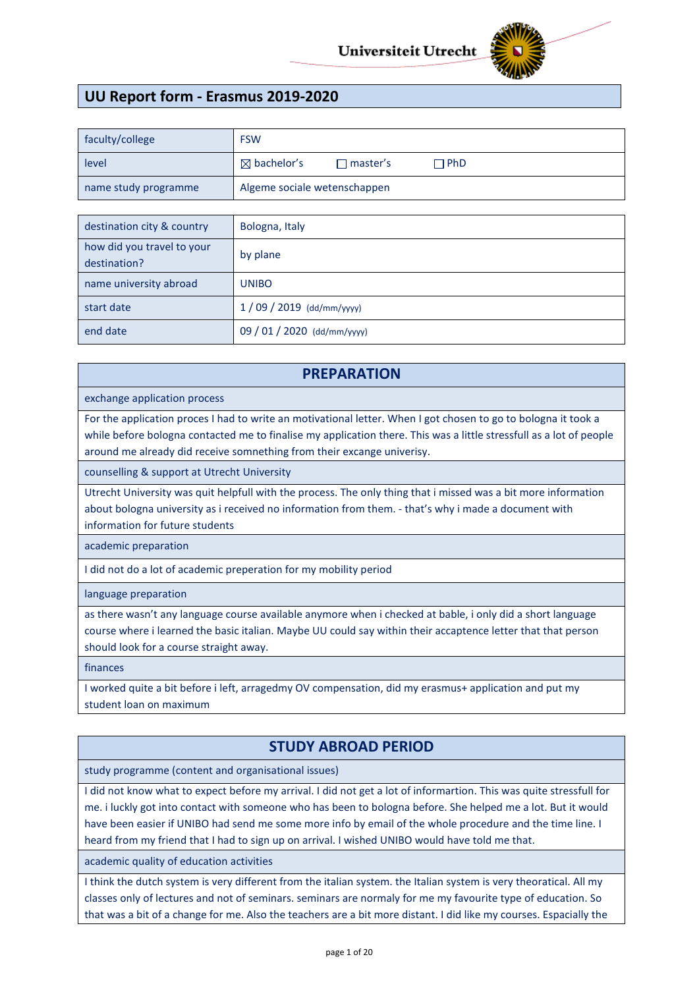

# **UU Report form - Erasmus 2019-2020**

| faculty/college      | <b>FSW</b>                   |                      |              |  |
|----------------------|------------------------------|----------------------|--------------|--|
| level                | $\boxtimes$ bachelor's       | $\sqsupset$ master's | $\sqcap$ PhD |  |
| name study programme | Algeme sociale wetenschappen |                      |              |  |

| destination city & country                 | Bologna, Italy              |
|--------------------------------------------|-----------------------------|
| how did you travel to your<br>destination? | by plane                    |
| name university abroad                     | <b>UNIBO</b>                |
| start date                                 | $1/09/2019$ (dd/mm/yyyy)    |
| end date                                   | 09 / 01 / 2020 (dd/mm/yyyy) |

## **PREPARATION**

exchange application process

For the application proces I had to write an motivational letter. When I got chosen to go to bologna it took a while before bologna contacted me to finalise my application there. This was a little stressfull as a lot of people around me already did receive somnething from their excange univerisy.

counselling & support at Utrecht University

Utrecht University was quit helpfull with the process. The only thing that i missed was a bit more information about bologna university as i received no information from them. - that's why i made a document with information for future students

academic preparation

I did not do a lot of academic preperation for my mobility period

language preparation

as there wasn't any language course available anymore when i checked at bable, i only did a short language course where i learned the basic italian. Maybe UU could say within their accaptence letter that that person should look for a course straight away.

finances

I worked quite a bit before i left, arragedmy OV compensation, did my erasmus+ application and put my student loan on maximum

# **STUDY ABROAD PERIOD**

study programme (content and organisational issues)

I did not know what to expect before my arrival. I did not get a lot of informartion. This was quite stressfull for me. i luckly got into contact with someone who has been to bologna before. She helped me a lot. But it would have been easier if UNIBO had send me some more info by email of the whole procedure and the time line. I heard from my friend that I had to sign up on arrival. I wished UNIBO would have told me that.

academic quality of education activities

I think the dutch system is very different from the italian system. the Italian system is very theoratical. All my classes only of lectures and not of seminars. seminars are normaly for me my favourite type of education. So that was a bit of a change for me. Also the teachers are a bit more distant. I did like my courses. Espacially the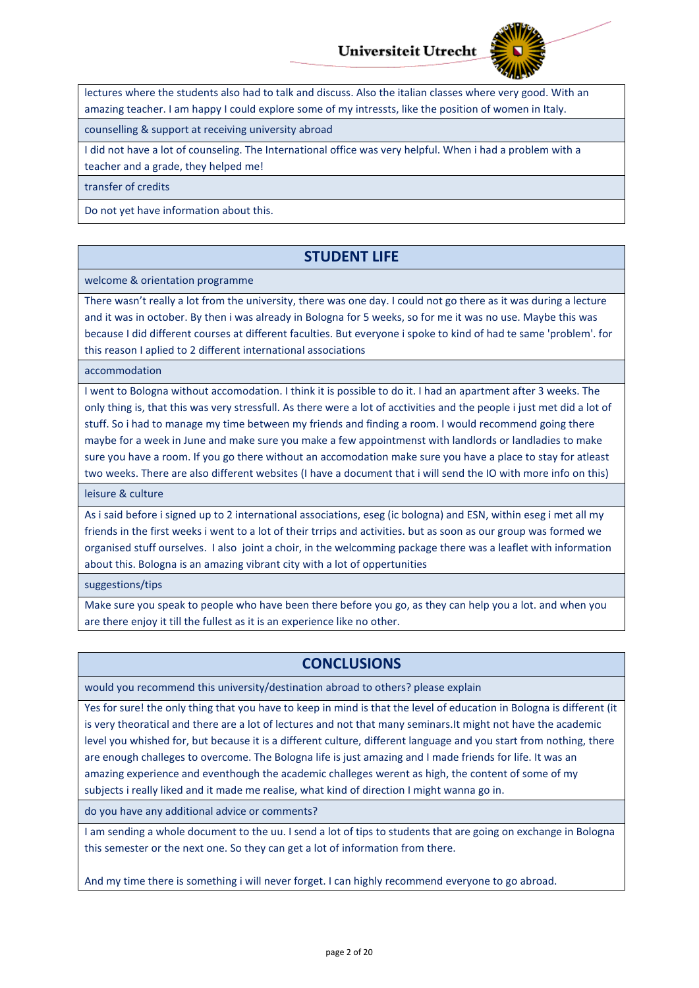

lectures where the students also had to talk and discuss. Also the italian classes where very good. With an amazing teacher. I am happy I could explore some of my intressts, like the position of women in Italy.

counselling & support at receiving university abroad

I did not have a lot of counseling. The International office was very helpful. When i had a problem with a teacher and a grade, they helped me!

transfer of credits

Do not yet have information about this.

## **STUDENT LIFE**

welcome & orientation programme

There wasn't really a lot from the university, there was one day. I could not go there as it was during a lecture and it was in october. By then i was already in Bologna for 5 weeks, so for me it was no use. Maybe this was because I did different courses at different faculties. But everyone i spoke to kind of had te same 'problem'. for this reason I aplied to 2 different international associations

accommodation

I went to Bologna without accomodation. I think it is possible to do it. I had an apartment after 3 weeks. The only thing is, that this was very stressfull. As there were a lot of acctivities and the people i just met did a lot of stuff. So i had to manage my time between my friends and finding a room. I would recommend going there maybe for a week in June and make sure you make a few appointmenst with landlords or landladies to make sure you have a room. If you go there without an accomodation make sure you have a place to stay for atleast two weeks. There are also different websites (I have a document that i will send the IO with more info on this)

leisure & culture

As i said before i signed up to 2 international associations, eseg (ic bologna) and ESN, within eseg i met all my friends in the first weeks i went to a lot of their trrips and activities. but as soon as our group was formed we organised stuff ourselves. I also joint a choir, in the welcomming package there was a leaflet with information about this. Bologna is an amazing vibrant city with a lot of oppertunities

suggestions/tips

Make sure you speak to people who have been there before you go, as they can help you a lot. and when you are there enjoy it till the fullest as it is an experience like no other.

# **CONCLUSIONS**

would you recommend this university/destination abroad to others? please explain

Yes for sure! the only thing that you have to keep in mind is that the level of education in Bologna is different (it is very theoratical and there are a lot of lectures and not that many seminars.It might not have the academic level you whished for, but because it is a different culture, different language and you start from nothing, there are enough challeges to overcome. The Bologna life is just amazing and I made friends for life. It was an amazing experience and eventhough the academic challeges werent as high, the content of some of my subjects i really liked and it made me realise, what kind of direction I might wanna go in.

do you have any additional advice or comments?

I am sending a whole document to the uu. I send a lot of tips to students that are going on exchange in Bologna this semester or the next one. So they can get a lot of information from there.

And my time there is something i will never forget. I can highly recommend everyone to go abroad.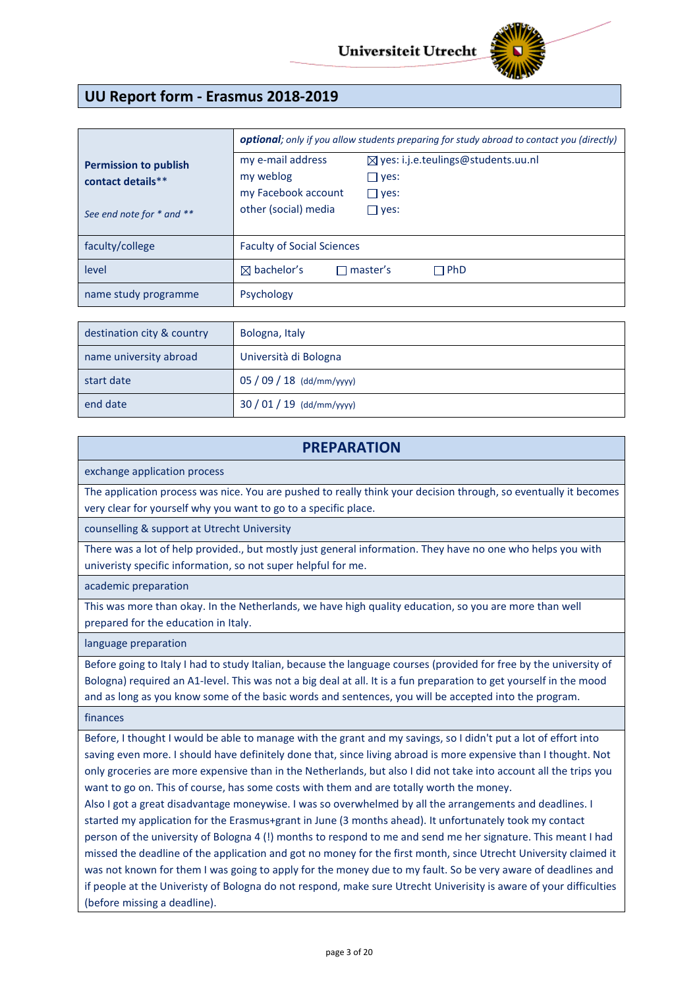

# **UU Report form - Erasmus 2018-2019**

|                                                                                | <b>optional</b> ; only if you allow students preparing for study abroad to contact you (directly) |                                                                                                |  |
|--------------------------------------------------------------------------------|---------------------------------------------------------------------------------------------------|------------------------------------------------------------------------------------------------|--|
| <b>Permission to publish</b><br>contact details**<br>See end note for * and ** | my e-mail address<br>my weblog<br>my Facebook account<br>other (social) media                     | $\boxtimes$ yes: i.j.e.teulings@students.uu.nl<br>$\Box$ yes:<br>$\Box$ yes:<br>$\square$ yes: |  |
| faculty/college                                                                | <b>Faculty of Social Sciences</b>                                                                 |                                                                                                |  |
| level                                                                          | $\boxtimes$ bachelor's                                                                            | $\sqcap$ master's<br>$\sqcap$ PhD                                                              |  |
| name study programme                                                           | Psychology                                                                                        |                                                                                                |  |

| destination city & country | Bologna, Italy          |
|----------------------------|-------------------------|
| name university abroad     | Università di Bologna   |
| start date                 | $05/09/18$ (dd/mm/yyyy) |
| end date                   | $30/01/19$ (dd/mm/yyyy) |

## **PREPARATION**

exchange application process

The application process was nice. You are pushed to really think your decision through, so eventually it becomes very clear for yourself why you want to go to a specific place.

counselling & support at Utrecht University

There was a lot of help provided., but mostly just general information. They have no one who helps you with univeristy specific information, so not super helpful for me.

academic preparation

This was more than okay. In the Netherlands, we have high quality education, so you are more than well prepared for the education in Italy.

language preparation

Before going to Italy I had to study Italian, because the language courses (provided for free by the university of Bologna) required an A1-level. This was not a big deal at all. It is a fun preparation to get yourself in the mood and as long as you know some of the basic words and sentences, you will be accepted into the program.

finances

Before, I thought I would be able to manage with the grant and my savings, so I didn't put a lot of effort into saving even more. I should have definitely done that, since living abroad is more expensive than I thought. Not only groceries are more expensive than in the Netherlands, but also I did not take into account all the trips you want to go on. This of course, has some costs with them and are totally worth the money.

Also I got a great disadvantage moneywise. I was so overwhelmed by all the arrangements and deadlines. I started my application for the Erasmus+grant in June (3 months ahead). It unfortunately took my contact person of the university of Bologna 4 (!) months to respond to me and send me her signature. This meant I had missed the deadline of the application and got no money for the first month, since Utrecht University claimed it was not known for them I was going to apply for the money due to my fault. So be very aware of deadlines and if people at the Univeristy of Bologna do not respond, make sure Utrecht Univerisity is aware of your difficulties (before missing a deadline).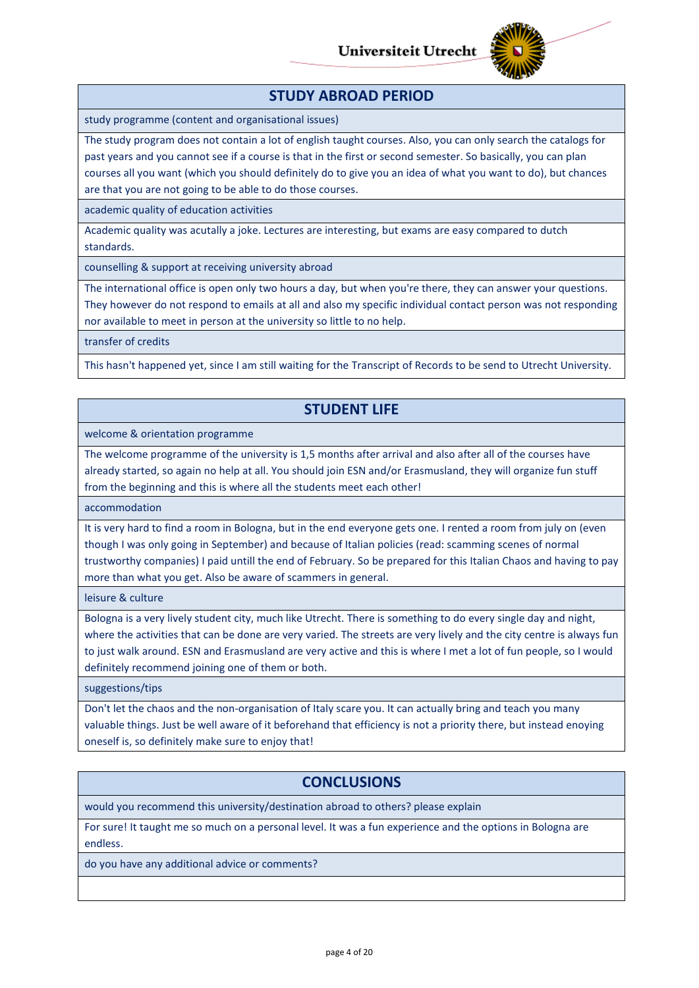

## **STUDY ABROAD PERIOD**

study programme (content and organisational issues)

The study program does not contain a lot of english taught courses. Also, you can only search the catalogs for past years and you cannot see if a course is that in the first or second semester. So basically, you can plan courses all you want (which you should definitely do to give you an idea of what you want to do), but chances are that you are not going to be able to do those courses.

academic quality of education activities

Academic quality was acutally a joke. Lectures are interesting, but exams are easy compared to dutch standards.

counselling & support at receiving university abroad

The international office is open only two hours a day, but when you're there, they can answer your questions. They however do not respond to emails at all and also my specific individual contact person was not responding nor available to meet in person at the university so little to no help.

transfer of credits

This hasn't happened yet, since I am still waiting for the Transcript of Records to be send to Utrecht University.

# **STUDENT LIFE**

welcome & orientation programme

The welcome programme of the university is 1,5 months after arrival and also after all of the courses have already started, so again no help at all. You should join ESN and/or Erasmusland, they will organize fun stuff from the beginning and this is where all the students meet each other!

accommodation

It is very hard to find a room in Bologna, but in the end everyone gets one. I rented a room from july on (even though I was only going in September) and because of Italian policies (read: scamming scenes of normal trustworthy companies) I paid untill the end of February. So be prepared for this Italian Chaos and having to pay more than what you get. Also be aware of scammers in general.

leisure & culture

Bologna is a very lively student city, much like Utrecht. There is something to do every single day and night, where the activities that can be done are very varied. The streets are very lively and the city centre is always fun to just walk around. ESN and Erasmusland are very active and this is where I met a lot of fun people, so I would definitely recommend joining one of them or both.

suggestions/tips

Don't let the chaos and the non-organisation of Italy scare you. It can actually bring and teach you many valuable things. Just be well aware of it beforehand that efficiency is not a priority there, but instead enoying oneself is, so definitely make sure to enjoy that!

# **CONCLUSIONS**

would you recommend this university/destination abroad to others? please explain

For sure! It taught me so much on a personal level. It was a fun experience and the options in Bologna are endless.

do you have any additional advice or comments?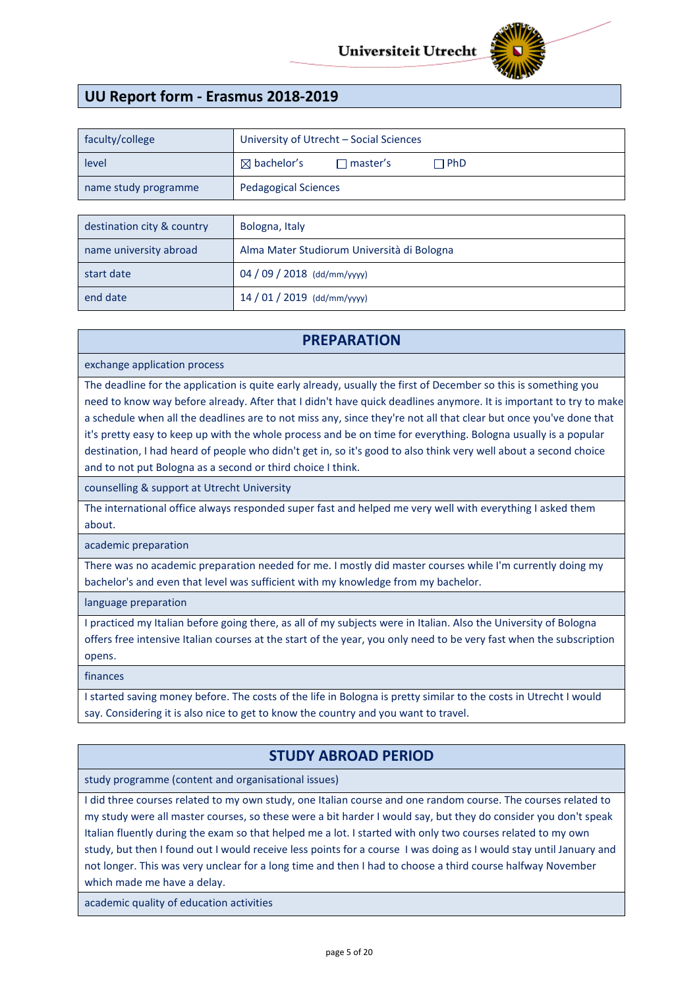

# **UU Report form - Erasmus 2018-2019**

| faculty/college      | University of Utrecht - Social Sciences                 |
|----------------------|---------------------------------------------------------|
| level                | $\boxtimes$ bachelor's<br>$\Box$ PhD<br>$\Box$ master's |
| name study programme | <b>Pedagogical Sciences</b>                             |
|                      |                                                         |
|                      |                                                         |

| destination city & country | Bologna, Italy                             |
|----------------------------|--------------------------------------------|
| name university abroad     | Alma Mater Studiorum Università di Bologna |
| start date                 | 04 / 09 / 2018 (dd/mm/yyyy)                |
| end date                   | $14/01/2019$ (dd/mm/yyyy)                  |

## **PREPARATION**

exchange application process

The deadline for the application is quite early already, usually the first of December so this is something you need to know way before already. After that I didn't have quick deadlines anymore. It is important to try to make a schedule when all the deadlines are to not miss any, since they're not all that clear but once you've done that it's pretty easy to keep up with the whole process and be on time for everything. Bologna usually is a popular destination, I had heard of people who didn't get in, so it's good to also think very well about a second choice and to not put Bologna as a second or third choice I think.

counselling & support at Utrecht University

The international office always responded super fast and helped me very well with everything I asked them about.

academic preparation

There was no academic preparation needed for me. I mostly did master courses while I'm currently doing my bachelor's and even that level was sufficient with my knowledge from my bachelor.

language preparation

I practiced my Italian before going there, as all of my subjects were in Italian. Also the University of Bologna offers free intensive Italian courses at the start of the year, you only need to be very fast when the subscription opens.

#### finances

I started saving money before. The costs of the life in Bologna is pretty similar to the costs in Utrecht I would say. Considering it is also nice to get to know the country and you want to travel.

## **STUDY ABROAD PERIOD**

study programme (content and organisational issues)

I did three courses related to my own study, one Italian course and one random course. The courses related to my study were all master courses, so these were a bit harder I would say, but they do consider you don't speak Italian fluently during the exam so that helped me a lot. I started with only two courses related to my own study, but then I found out I would receive less points for a course I was doing as I would stay until January and not longer. This was very unclear for a long time and then I had to choose a third course halfway November which made me have a delay.

academic quality of education activities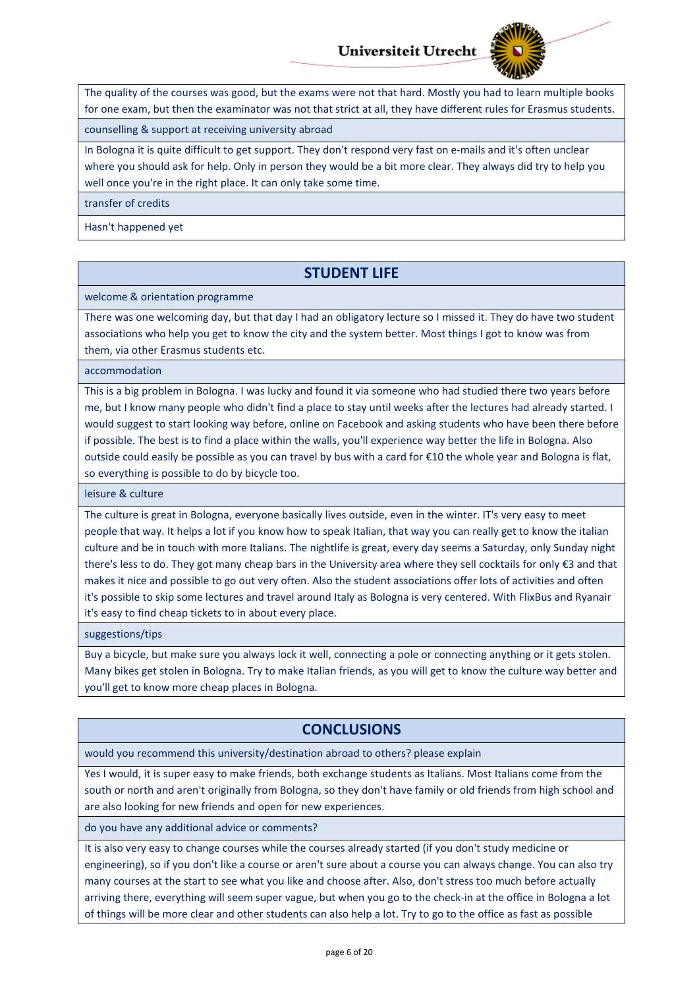

The quality of the courses was good, but the exams were not that hard. Mostly you had to learn multiple books for one exam, but then the examinator was not that strict at all, they have different rules for Erasmus students.

counselling & support at receiving university abroad

In Bologna it is quite difficult to get support. They don't respond very fast on e-mails and it's often unclear where you should ask for help. Only in person they would be a bit more clear. They always did try to help you well once you're in the right place. It can only take some time.

transfer of credits

Hasn't happened yet

# **STUDENT LIFE**

welcome & orientation programme

There was one welcoming day, but that day I had an obligatory lecture so I missed it. They do have two student associations who help you get to know the city and the system better. Most things I got to know was from them, via other Erasmus students etc.

accommodation

This is a big problem in Bologna. I was lucky and found it via someone who had studied there two years before me, but I know many people who didn't find a place to stay until weeks after the lectures had already started. I would suggest to start looking way before, online on Facebook and asking students who have been there before if possible. The best is to find a place within the walls, you'll experience way better the life in Bologna. Also outside could easily be possible as you can travel by bus with a card for €10 the whole year and Bologna is flat, so everything is possible to do by bicycle too.

leisure & culture

The culture is great in Bologna, everyone basically lives outside, even in the winter. IT's very easy to meet people that way. It helps a lot if you know how to speak Italian, that way you can really get to know the italian culture and be in touch with more Italians. The nightlife is great, every day seems a Saturday, only Sunday night there's less to do. They got many cheap bars in the University area where they sell cocktails for only €3 and that makes it nice and possible to go out very often. Also the student associations offer lots of activities and often it's possible to skip some lectures and travel around Italy as Bologna is very centered. With FlixBus and Ryanair it's easy to find cheap tickets to in about every place.

suggestions/tips

Buy a bicycle, but make sure you always lock it well, connecting a pole or connecting anything or it gets stolen. Many bikes get stolen in Bologna. Try to make Italian friends, as you will get to know the culture way better and you'll get to know more cheap places in Bologna.

# **CONCLUSIONS**

would you recommend this university/destination abroad to others? please explain

Yes I would, it is super easy to make friends, both exchange students as Italians. Most Italians come from the south or north and aren't originally from Bologna, so they don't have family or old friends from high school and are also looking for new friends and open for new experiences.

do you have any additional advice or comments?

It is also very easy to change courses while the courses already started (if you don't study medicine or engineering), so if you don't like a course or aren't sure about a course you can always change. You can also try many courses at the start to see what you like and choose after. Also, don't stress too much before actually arriving there, everything will seem super vague, but when you go to the check-in at the office in Bologna a lot of things will be more clear and other students can also help a lot. Try to go to the office as fast as possible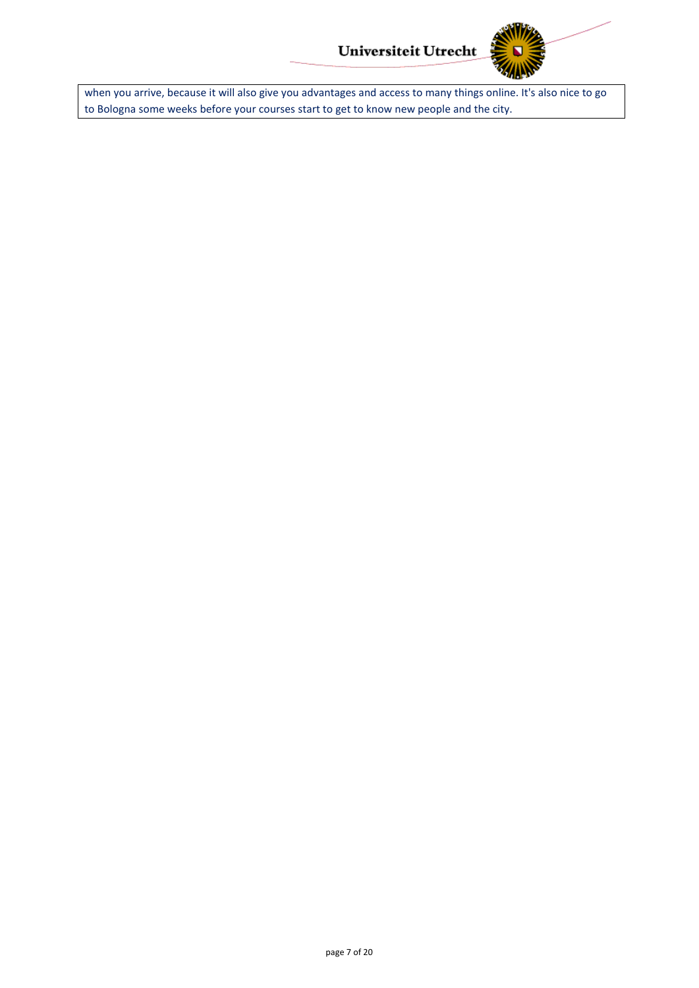

when you arrive, because it will also give you advantages and access to many things online. It's also nice to go to Bologna some weeks before your courses start to get to know new people and the city.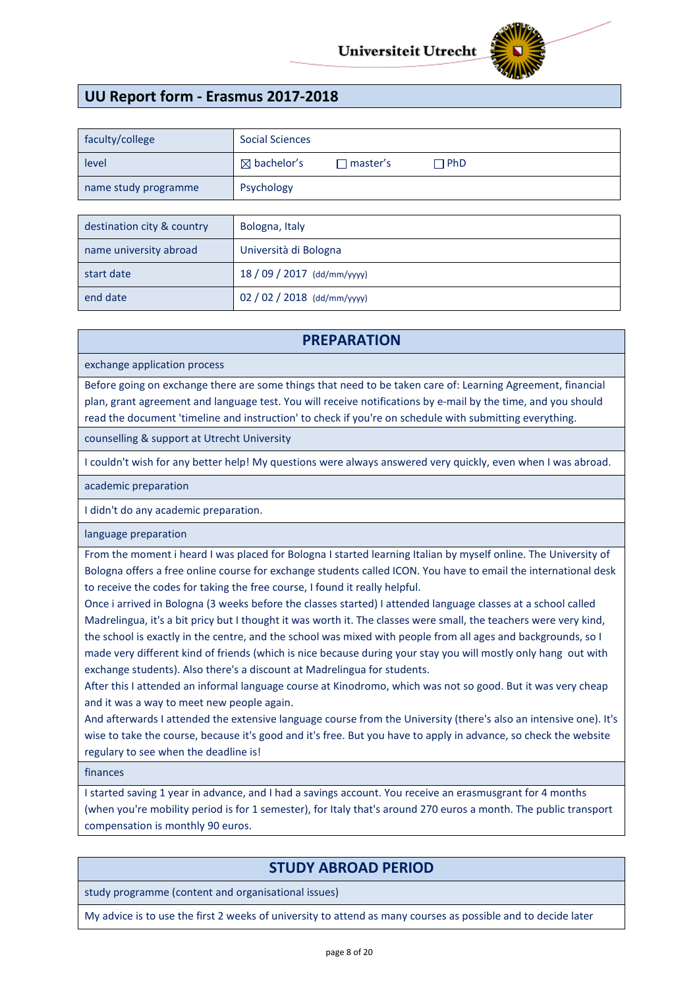

# **UU Report form - Erasmus 2017-2018**

| faculty/college      | <b>Social Sciences</b> |                   |            |
|----------------------|------------------------|-------------------|------------|
| level                | $\boxtimes$ bachelor's | $\sqcap$ master's | $\Box$ PhD |
| name study programme | Psychology             |                   |            |

| destination city & country | Bologna, Italy              |
|----------------------------|-----------------------------|
| name university abroad     | Università di Bologna       |
| start date                 | $18/09/2017$ (dd/mm/yyyy)   |
| end date                   | 02 / 02 / 2018 (dd/mm/yyyy) |

## **PREPARATION**

exchange application process

Before going on exchange there are some things that need to be taken care of: Learning Agreement, financial plan, grant agreement and language test. You will receive notifications by e-mail by the time, and you should read the document 'timeline and instruction' to check if you're on schedule with submitting everything.

counselling & support at Utrecht University

I couldn't wish for any better help! My questions were always answered very quickly, even when I was abroad.

#### academic preparation

I didn't do any academic preparation.

language preparation

From the moment i heard I was placed for Bologna I started learning Italian by myself online. The University of Bologna offers a free online course for exchange students called ICON. You have to email the international desk to receive the codes for taking the free course, I found it really helpful.

Once i arrived in Bologna (3 weeks before the classes started) I attended language classes at a school called Madrelingua, it's a bit pricy but I thought it was worth it. The classes were small, the teachers were very kind, the school is exactly in the centre, and the school was mixed with people from all ages and backgrounds, so I made very different kind of friends (which is nice because during your stay you will mostly only hang out with exchange students). Also there's a discount at Madrelingua for students.

After this I attended an informal language course at Kinodromo, which was not so good. But it was very cheap and it was a way to meet new people again.

And afterwards I attended the extensive language course from the University (there's also an intensive one). It's wise to take the course, because it's good and it's free. But you have to apply in advance, so check the website regulary to see when the deadline is!

finances

I started saving 1 year in advance, and I had a savings account. You receive an erasmusgrant for 4 months (when you're mobility period is for 1 semester), for Italy that's around 270 euros a month. The public transport compensation is monthly 90 euros.

# **STUDY ABROAD PERIOD**

study programme (content and organisational issues)

My advice is to use the first 2 weeks of university to attend as many courses as possible and to decide later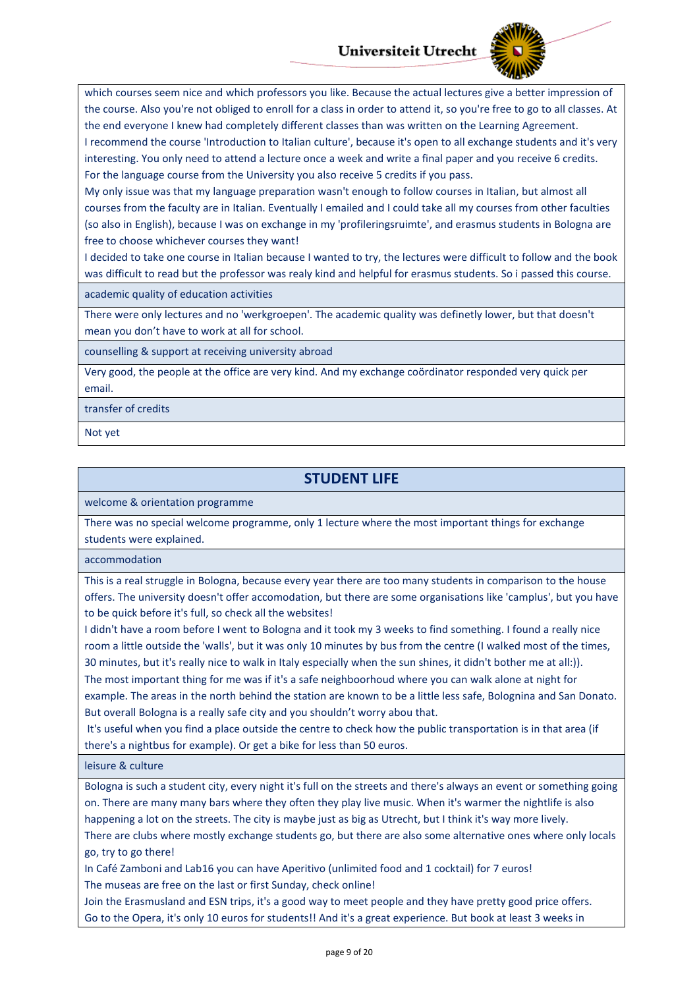

which courses seem nice and which professors you like. Because the actual lectures give a better impression of the course. Also you're not obliged to enroll for a class in order to attend it, so you're free to go to all classes. At the end everyone I knew had completely different classes than was written on the Learning Agreement. I recommend the course 'Introduction to Italian culture', because it's open to all exchange students and it's very interesting. You only need to attend a lecture once a week and write a final paper and you receive 6 credits. For the language course from the University you also receive 5 credits if you pass.

My only issue was that my language preparation wasn't enough to follow courses in Italian, but almost all courses from the faculty are in Italian. Eventually I emailed and I could take all my courses from other faculties (so also in English), because I was on exchange in my 'profileringsruimte', and erasmus students in Bologna are free to choose whichever courses they want!

I decided to take one course in Italian because I wanted to try, the lectures were difficult to follow and the book was difficult to read but the professor was realy kind and helpful for erasmus students. So i passed this course.

academic quality of education activities

There were only lectures and no 'werkgroepen'. The academic quality was definetly lower, but that doesn't mean you don't have to work at all for school.

counselling & support at receiving university abroad

Very good, the people at the office are very kind. And my exchange coördinator responded very quick per email.

transfer of credits

Not yet

# **STUDENT LIFE**

welcome & orientation programme

There was no special welcome programme, only 1 lecture where the most important things for exchange students were explained.

accommodation

This is a real struggle in Bologna, because every year there are too many students in comparison to the house offers. The university doesn't offer accomodation, but there are some organisations like 'camplus', but you have to be quick before it's full, so check all the websites!

I didn't have a room before I went to Bologna and it took my 3 weeks to find something. I found a really nice room a little outside the 'walls', but it was only 10 minutes by bus from the centre (I walked most of the times, 30 minutes, but it's really nice to walk in Italy especially when the sun shines, it didn't bother me at all:)). The most important thing for me was if it's a safe neighboorhoud where you can walk alone at night for example. The areas in the north behind the station are known to be a little less safe, Bolognina and San Donato. But overall Bologna is a really safe city and you shouldn't worry abou that.

It's useful when you find a place outside the centre to check how the public transportation is in that area (if there's a nightbus for example). Or get a bike for less than 50 euros.

leisure & culture

Bologna is such a student city, every night it's full on the streets and there's always an event or something going on. There are many many bars where they often they play live music. When it's warmer the nightlife is also happening a lot on the streets. The city is maybe just as big as Utrecht, but I think it's way more lively. There are clubs where mostly exchange students go, but there are also some alternative ones where only locals go, try to go there!

In Café Zamboni and Lab16 you can have Aperitivo (unlimited food and 1 cocktail) for 7 euros! The museas are free on the last or first Sunday, check online!

Join the Erasmusland and ESN trips, it's a good way to meet people and they have pretty good price offers. Go to the Opera, it's only 10 euros for students!! And it's a great experience. But book at least 3 weeks in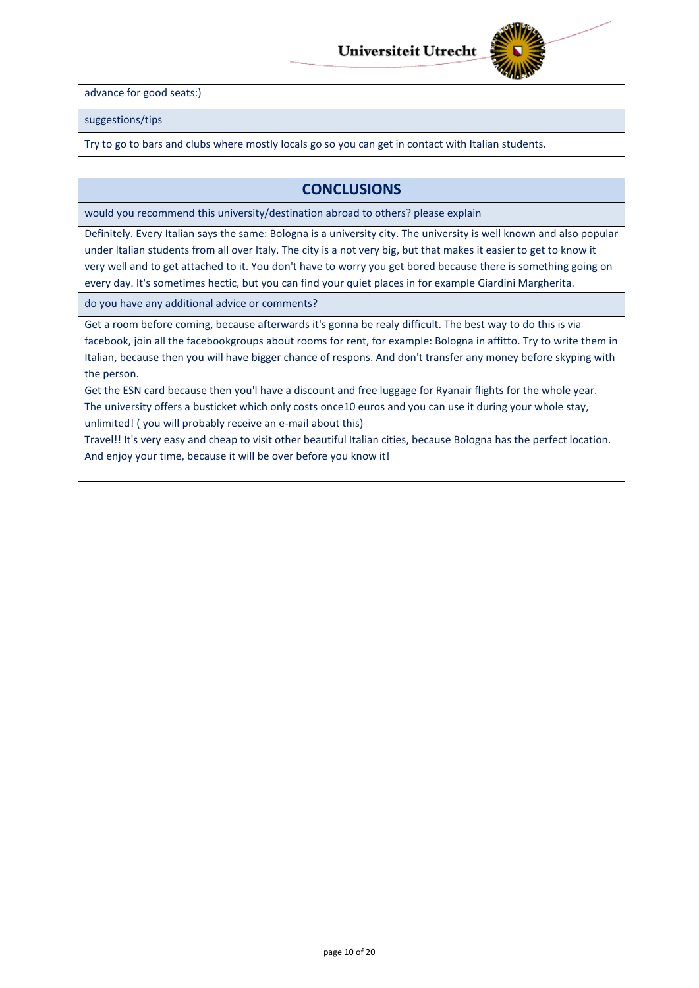

advance for good seats:)

suggestions/tips

Try to go to bars and clubs where mostly locals go so you can get in contact with Italian students.

## **CONCLUSIONS**

would you recommend this university/destination abroad to others? please explain

Definitely. Every Italian says the same: Bologna is a university city. The university is well known and also popular under Italian students from all over Italy. The city is a not very big, but that makes it easier to get to know it very well and to get attached to it. You don't have to worry you get bored because there is something going on every day. It's sometimes hectic, but you can find your quiet places in for example Giardini Margherita.

do you have any additional advice or comments?

Get a room before coming, because afterwards it's gonna be realy difficult. The best way to do this is via facebook, join all the facebookgroups about rooms for rent, for example: Bologna in affitto. Try to write them in Italian, because then you will have bigger chance of respons. And don't transfer any money before skyping with the person.

Get the ESN card because then you'l have a discount and free luggage for Ryanair flights for the whole year. The university offers a busticket which only costs once10 euros and you can use it during your whole stay, unlimited! ( you will probably receive an e-mail about this)

Travel!! It's very easy and cheap to visit other beautiful Italian cities, because Bologna has the perfect location. And enjoy your time, because it will be over before you know it!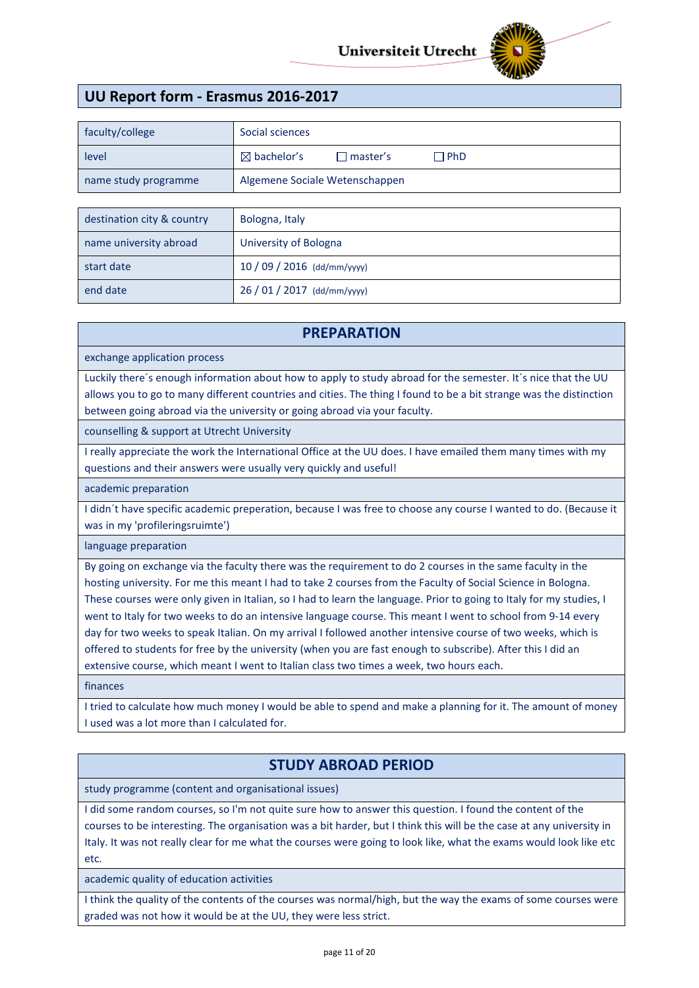

# **UU Report form - Erasmus 2016-2017**

| faculty/college      | Social sciences                                           |  |
|----------------------|-----------------------------------------------------------|--|
| level                | $\boxtimes$ bachelor's<br>$\Box$ PhD<br>$\sqcap$ master's |  |
| name study programme | Algemene Sociale Wetenschappen                            |  |

| destination city & country | Bologna, Italy              |
|----------------------------|-----------------------------|
| name university abroad     | University of Bologna       |
| start date                 | $10/09/2016$ (dd/mm/yyyy)   |
| end date                   | 26 / 01 / 2017 (dd/mm/yyyy) |

#### **PREPARATION**

exchange application process

Luckily there´s enough information about how to apply to study abroad for the semester. It´s nice that the UU allows you to go to many different countries and cities. The thing I found to be a bit strange was the distinction between going abroad via the university or going abroad via your faculty.

counselling & support at Utrecht University

I really appreciate the work the International Office at the UU does. I have emailed them many times with my questions and their answers were usually very quickly and useful!

academic preparation

I didn´t have specific academic preperation, because I was free to choose any course I wanted to do. (Because it was in my 'profileringsruimte')

language preparation

By going on exchange via the faculty there was the requirement to do 2 courses in the same faculty in the hosting university. For me this meant I had to take 2 courses from the Faculty of Social Science in Bologna. These courses were only given in Italian, so I had to learn the language. Prior to going to Italy for my studies, I went to Italy for two weeks to do an intensive language course. This meant I went to school from 9-14 every day for two weeks to speak Italian. On my arrival I followed another intensive course of two weeks, which is offered to students for free by the university (when you are fast enough to subscribe). After this I did an extensive course, which meant I went to Italian class two times a week, two hours each.

finances

I tried to calculate how much money I would be able to spend and make a planning for it. The amount of money I used was a lot more than I calculated for.

# **STUDY ABROAD PERIOD**

study programme (content and organisational issues)

I did some random courses, so I'm not quite sure how to answer this question. I found the content of the courses to be interesting. The organisation was a bit harder, but I think this will be the case at any university in Italy. It was not really clear for me what the courses were going to look like, what the exams would look like etc etc.

academic quality of education activities

I think the quality of the contents of the courses was normal/high, but the way the exams of some courses were graded was not how it would be at the UU, they were less strict.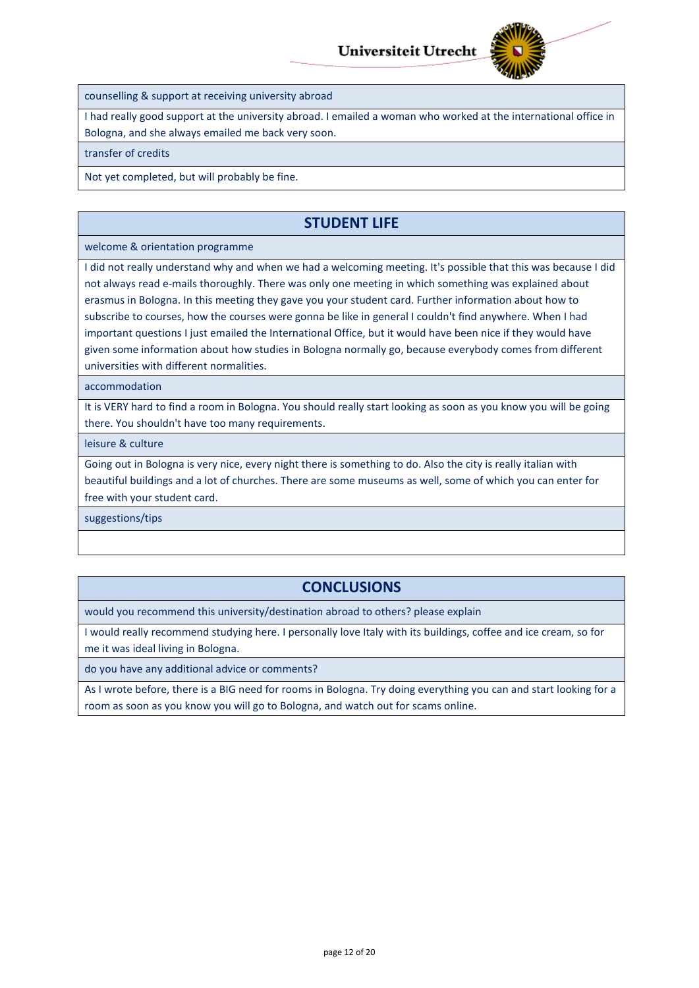

counselling & support at receiving university abroad

I had really good support at the university abroad. I emailed a woman who worked at the international office in Bologna, and she always emailed me back very soon.

transfer of credits

Not yet completed, but will probably be fine.

# **STUDENT LIFE**

#### welcome & orientation programme

I did not really understand why and when we had a welcoming meeting. It's possible that this was because I did not always read e-mails thoroughly. There was only one meeting in which something was explained about erasmus in Bologna. In this meeting they gave you your student card. Further information about how to subscribe to courses, how the courses were gonna be like in general I couldn't find anywhere. When I had important questions I just emailed the International Office, but it would have been nice if they would have given some information about how studies in Bologna normally go, because everybody comes from different universities with different normalities.

accommodation

It is VERY hard to find a room in Bologna. You should really start looking as soon as you know you will be going there. You shouldn't have too many requirements.

leisure & culture

Going out in Bologna is very nice, every night there is something to do. Also the city is really italian with beautiful buildings and a lot of churches. There are some museums as well, some of which you can enter for free with your student card.

suggestions/tips

# **CONCLUSIONS**

would you recommend this university/destination abroad to others? please explain

I would really recommend studying here. I personally love Italy with its buildings, coffee and ice cream, so for me it was ideal living in Bologna.

do you have any additional advice or comments?

As I wrote before, there is a BIG need for rooms in Bologna. Try doing everything you can and start looking for a room as soon as you know you will go to Bologna, and watch out for scams online.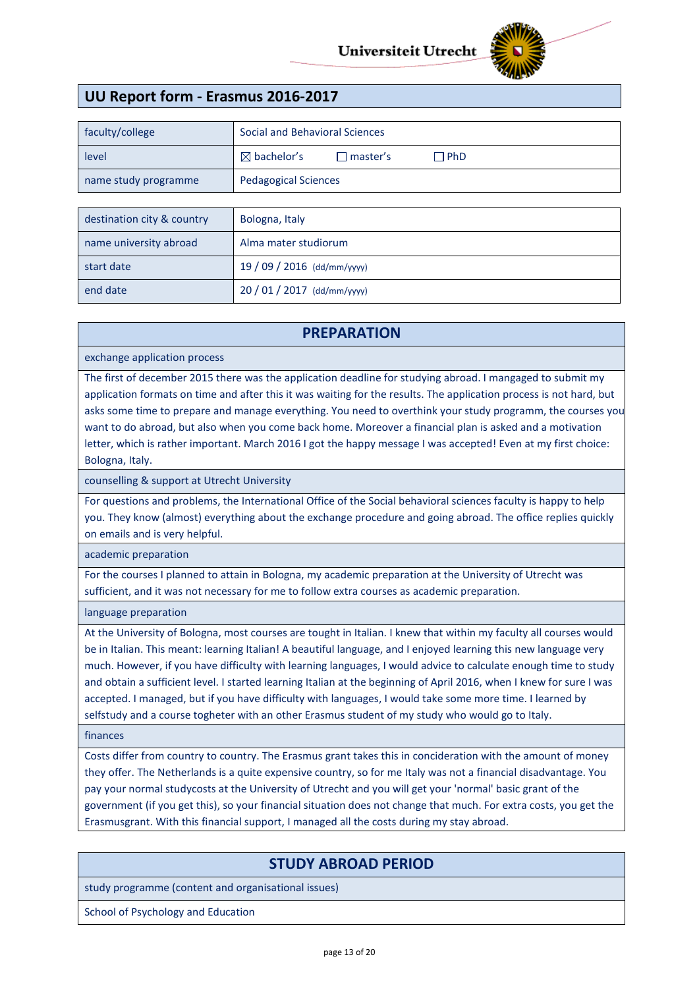

# **UU Report form - Erasmus 2016-2017**

| faculty/college            | Social and Behavioral Sciences                          |  |
|----------------------------|---------------------------------------------------------|--|
| level                      | $\boxtimes$ bachelor's<br>$\Box$ master's<br>$\Box$ PhD |  |
| name study programme       | <b>Pedagogical Sciences</b>                             |  |
|                            |                                                         |  |
| destination city & country | Bologna, Italy                                          |  |

| name university abroad | Alma mater studiorum        |
|------------------------|-----------------------------|
| start date             | 19 / 09 / 2016 (dd/mm/yyyy) |
| end date               | $20/01/2017$ (dd/mm/yyyy)   |

#### **PREPARATION**

exchange application process

The first of december 2015 there was the application deadline for studying abroad. I mangaged to submit my application formats on time and after this it was waiting for the results. The application process is not hard, but asks some time to prepare and manage everything. You need to overthink your study programm, the courses you want to do abroad, but also when you come back home. Moreover a financial plan is asked and a motivation letter, which is rather important. March 2016 I got the happy message I was accepted! Even at my first choice: Bologna, Italy.

counselling & support at Utrecht University

For questions and problems, the International Office of the Social behavioral sciences faculty is happy to help you. They know (almost) everything about the exchange procedure and going abroad. The office replies quickly on emails and is very helpful.

academic preparation

For the courses I planned to attain in Bologna, my academic preparation at the University of Utrecht was sufficient, and it was not necessary for me to follow extra courses as academic preparation.

language preparation

At the University of Bologna, most courses are tought in Italian. I knew that within my faculty all courses would be in Italian. This meant: learning Italian! A beautiful language, and I enjoyed learning this new language very much. However, if you have difficulty with learning languages, I would advice to calculate enough time to study and obtain a sufficient level. I started learning Italian at the beginning of April 2016, when I knew for sure I was accepted. I managed, but if you have difficulty with languages, I would take some more time. I learned by selfstudy and a course togheter with an other Erasmus student of my study who would go to Italy.

finances

Costs differ from country to country. The Erasmus grant takes this in concideration with the amount of money they offer. The Netherlands is a quite expensive country, so for me Italy was not a financial disadvantage. You pay your normal studycosts at the University of Utrecht and you will get your 'normal' basic grant of the government (if you get this), so your financial situation does not change that much. For extra costs, you get the Erasmusgrant. With this financial support, I managed all the costs during my stay abroad.

## **STUDY ABROAD PERIOD**

study programme (content and organisational issues)

School of Psychology and Education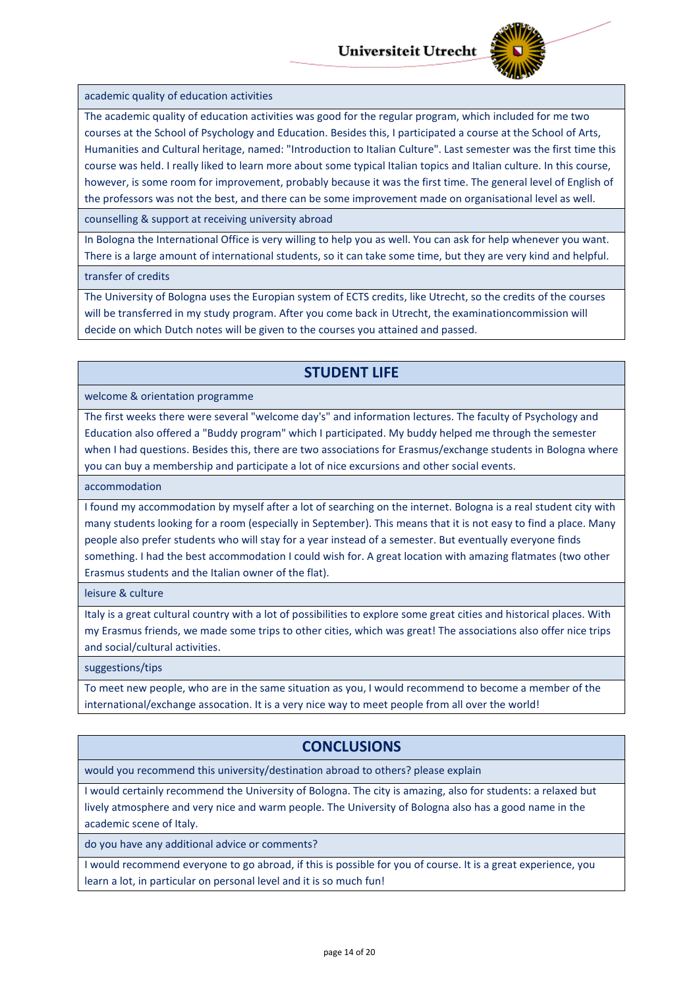

#### academic quality of education activities

The academic quality of education activities was good for the regular program, which included for me two courses at the School of Psychology and Education. Besides this, I participated a course at the School of Arts, Humanities and Cultural heritage, named: "Introduction to Italian Culture". Last semester was the first time this course was held. I really liked to learn more about some typical Italian topics and Italian culture. In this course, however, is some room for improvement, probably because it was the first time. The general level of English of the professors was not the best, and there can be some improvement made on organisational level as well.

counselling & support at receiving university abroad

In Bologna the International Office is very willing to help you as well. You can ask for help whenever you want. There is a large amount of international students, so it can take some time, but they are very kind and helpful.

transfer of credits

The University of Bologna uses the Europian system of ECTS credits, like Utrecht, so the credits of the courses will be transferred in my study program. After you come back in Utrecht, the examinationcommission will decide on which Dutch notes will be given to the courses you attained and passed.

# **STUDENT LIFE**

welcome & orientation programme

The first weeks there were several "welcome day's" and information lectures. The faculty of Psychology and Education also offered a "Buddy program" which I participated. My buddy helped me through the semester when I had questions. Besides this, there are two associations for Erasmus/exchange students in Bologna where you can buy a membership and participate a lot of nice excursions and other social events.

accommodation

I found my accommodation by myself after a lot of searching on the internet. Bologna is a real student city with many students looking for a room (especially in September). This means that it is not easy to find a place. Many people also prefer students who will stay for a year instead of a semester. But eventually everyone finds something. I had the best accommodation I could wish for. A great location with amazing flatmates (two other Erasmus students and the Italian owner of the flat).

leisure & culture

Italy is a great cultural country with a lot of possibilities to explore some great cities and historical places. With my Erasmus friends, we made some trips to other cities, which was great! The associations also offer nice trips and social/cultural activities.

suggestions/tips

To meet new people, who are in the same situation as you, I would recommend to become a member of the international/exchange assocation. It is a very nice way to meet people from all over the world!

# **CONCLUSIONS**

would you recommend this university/destination abroad to others? please explain

I would certainly recommend the University of Bologna. The city is amazing, also for students: a relaxed but lively atmosphere and very nice and warm people. The University of Bologna also has a good name in the academic scene of Italy.

do you have any additional advice or comments?

I would recommend everyone to go abroad, if this is possible for you of course. It is a great experience, you learn a lot, in particular on personal level and it is so much fun!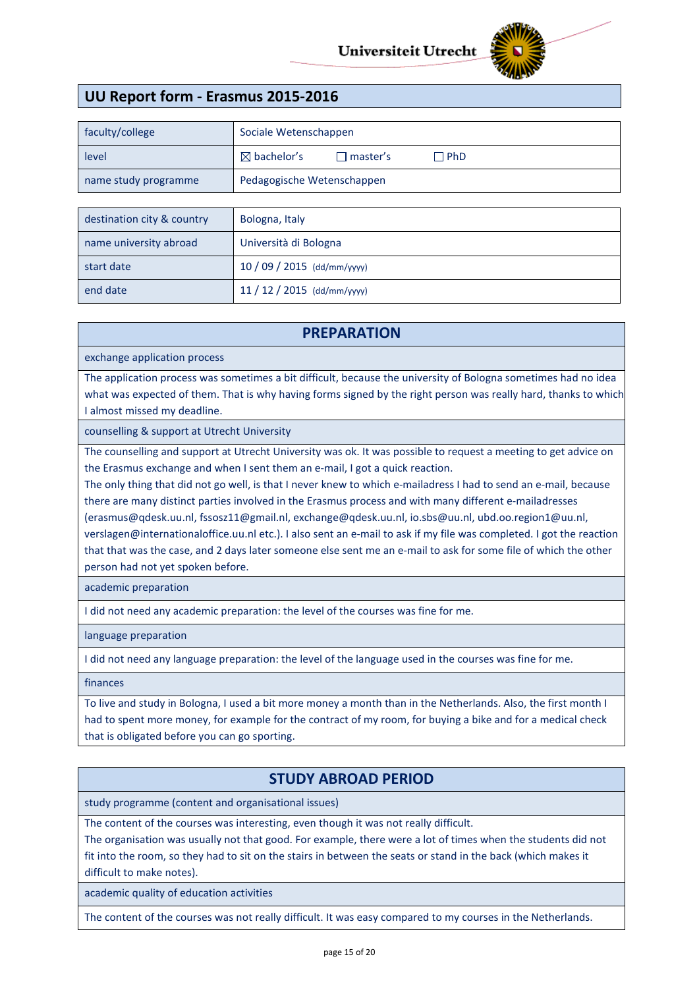

# **UU Report form - Erasmus 2015-2016**

| faculty/college      | Sociale Wetenschappen                                   |  |  |
|----------------------|---------------------------------------------------------|--|--|
| level                | $\boxtimes$ bachelor's<br>$\Box$ PhD<br>$\Box$ master's |  |  |
| name study programme | Pedagogische Wetenschappen                              |  |  |
|                      |                                                         |  |  |

| destination city & country | Bologna, Italy            |
|----------------------------|---------------------------|
| name university abroad     | Università di Bologna     |
| start date                 | $10/09/2015$ (dd/mm/yyyy) |
| end date                   | $11/12/2015$ (dd/mm/yyyy) |

#### **PREPARATION**

exchange application process

The application process was sometimes a bit difficult, because the university of Bologna sometimes had no idea what was expected of them. That is why having forms signed by the right person was really hard, thanks to which I almost missed my deadline.

counselling & support at Utrecht University

The counselling and support at Utrecht University was ok. It was possible to request a meeting to get advice on the Erasmus exchange and when I sent them an e-mail, I got a quick reaction.

The only thing that did not go well, is that I never knew to which e-mailadress I had to send an e-mail, because there are many distinct parties involved in the Erasmus process and with many different e-mailadresses (erasmus@qdesk.uu.nl, fssosz11@gmail.nl, exchange@qdesk.uu.nl, io.sbs@uu.nl, ubd.oo.region1@uu.nl, verslagen@internationaloffice.uu.nl etc.). I also sent an e-mail to ask if my file was completed. I got the reaction that that was the case, and 2 days later someone else sent me an e-mail to ask for some file of which the other person had not yet spoken before.

academic preparation

I did not need any academic preparation: the level of the courses was fine for me.

language preparation

I did not need any language preparation: the level of the language used in the courses was fine for me.

finances

To live and study in Bologna, I used a bit more money a month than in the Netherlands. Also, the first month I had to spent more money, for example for the contract of my room, for buying a bike and for a medical check that is obligated before you can go sporting.

# **STUDY ABROAD PERIOD**

study programme (content and organisational issues)

The content of the courses was interesting, even though it was not really difficult.

The organisation was usually not that good. For example, there were a lot of times when the students did not fit into the room, so they had to sit on the stairs in between the seats or stand in the back (which makes it difficult to make notes).

academic quality of education activities

The content of the courses was not really difficult. It was easy compared to my courses in the Netherlands.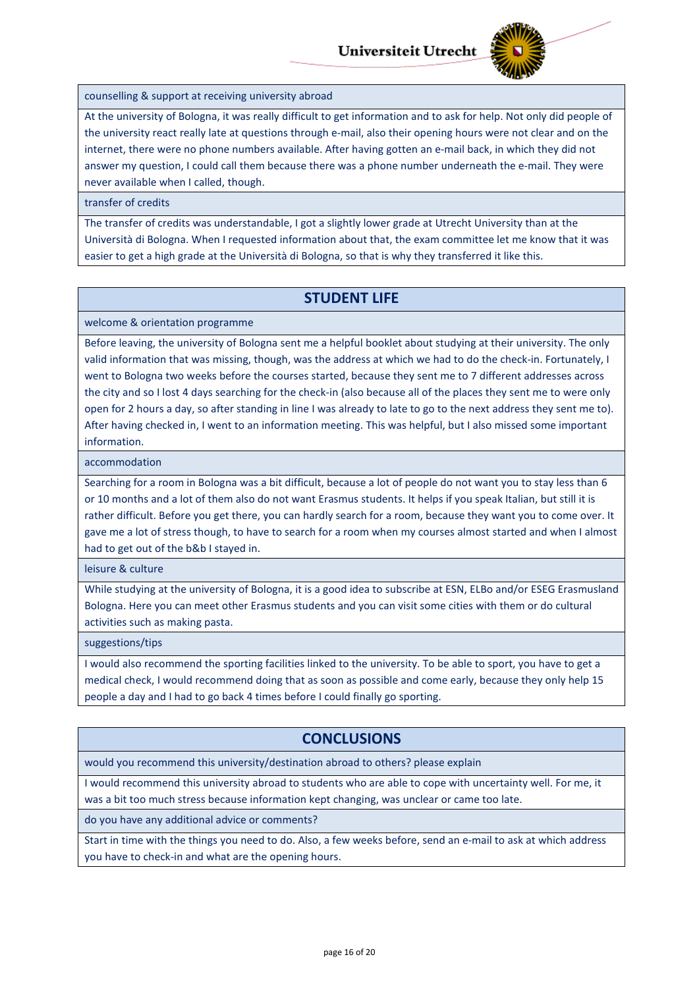

counselling & support at receiving university abroad

At the university of Bologna, it was really difficult to get information and to ask for help. Not only did people of the university react really late at questions through e-mail, also their opening hours were not clear and on the internet, there were no phone numbers available. After having gotten an e-mail back, in which they did not answer my question, I could call them because there was a phone number underneath the e-mail. They were never available when I called, though.

#### transfer of credits

The transfer of credits was understandable, I got a slightly lower grade at Utrecht University than at the Università di Bologna. When I requested information about that, the exam committee let me know that it was easier to get a high grade at the Università di Bologna, so that is why they transferred it like this.

#### **STUDENT LIFE**

welcome & orientation programme

Before leaving, the university of Bologna sent me a helpful booklet about studying at their university. The only valid information that was missing, though, was the address at which we had to do the check-in. Fortunately, I went to Bologna two weeks before the courses started, because they sent me to 7 different addresses across the city and so I lost 4 days searching for the check-in (also because all of the places they sent me to were only open for 2 hours a day, so after standing in line I was already to late to go to the next address they sent me to). After having checked in, I went to an information meeting. This was helpful, but I also missed some important information.

accommodation

Searching for a room in Bologna was a bit difficult, because a lot of people do not want you to stay less than 6 or 10 months and a lot of them also do not want Erasmus students. It helps if you speak Italian, but still it is rather difficult. Before you get there, you can hardly search for a room, because they want you to come over. It gave me a lot of stress though, to have to search for a room when my courses almost started and when I almost had to get out of the b&b I stayed in.

leisure & culture

While studying at the university of Bologna, it is a good idea to subscribe at ESN, ELBo and/or ESEG Erasmusland Bologna. Here you can meet other Erasmus students and you can visit some cities with them or do cultural activities such as making pasta.

suggestions/tips

I would also recommend the sporting facilities linked to the university. To be able to sport, you have to get a medical check, I would recommend doing that as soon as possible and come early, because they only help 15 people a day and I had to go back 4 times before I could finally go sporting.

## **CONCLUSIONS**

would you recommend this university/destination abroad to others? please explain

I would recommend this university abroad to students who are able to cope with uncertainty well. For me, it was a bit too much stress because information kept changing, was unclear or came too late.

do you have any additional advice or comments?

Start in time with the things you need to do. Also, a few weeks before, send an e-mail to ask at which address you have to check-in and what are the opening hours.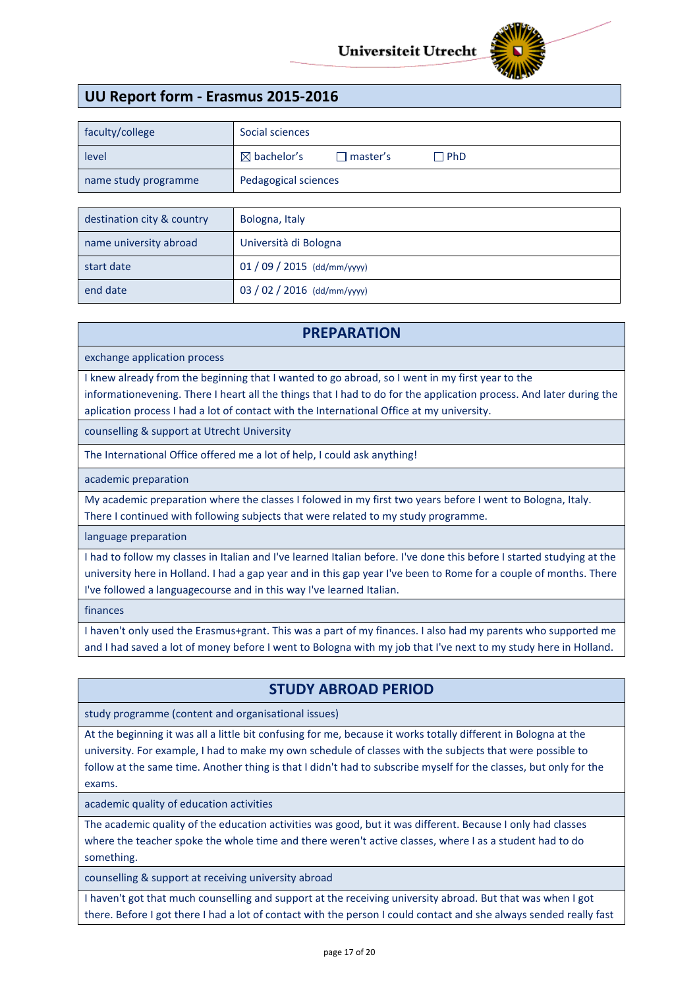

# **UU Report form - Erasmus 2015-2016**

| faculty/college            | Social sciences                                         |  |  |
|----------------------------|---------------------------------------------------------|--|--|
| level                      | $\boxtimes$ bachelor's<br>$\Box$ master's<br>$\Box$ PhD |  |  |
| name study programme       | Pedagogical sciences                                    |  |  |
|                            |                                                         |  |  |
| destination city & country | Bologna, Italy                                          |  |  |

| name university abroad | Università di Bologna       |
|------------------------|-----------------------------|
| start date             | $01/09/2015$ (dd/mm/yyyy)   |
| end date               | 03 / 02 / 2016 (dd/mm/yyyy) |

#### **PREPARATION**

exchange application process

I knew already from the beginning that I wanted to go abroad, so I went in my first year to the informationevening. There I heart all the things that I had to do for the application process. And later during the aplication process I had a lot of contact with the International Office at my university.

counselling & support at Utrecht University

The International Office offered me a lot of help, I could ask anything!

academic preparation

My academic preparation where the classes I folowed in my first two years before I went to Bologna, Italy. There I continued with following subjects that were related to my study programme.

language preparation

I had to follow my classes in Italian and I've learned Italian before. I've done this before I started studying at the university here in Holland. I had a gap year and in this gap year I've been to Rome for a couple of months. There I've followed a languagecourse and in this way I've learned Italian.

finances

I haven't only used the Erasmus+grant. This was a part of my finances. I also had my parents who supported me and I had saved a lot of money before I went to Bologna with my job that I've next to my study here in Holland.

## **STUDY ABROAD PERIOD**

study programme (content and organisational issues)

At the beginning it was all a little bit confusing for me, because it works totally different in Bologna at the university. For example, I had to make my own schedule of classes with the subjects that were possible to follow at the same time. Another thing is that I didn't had to subscribe myself for the classes, but only for the exams.

academic quality of education activities

The academic quality of the education activities was good, but it was different. Because I only had classes where the teacher spoke the whole time and there weren't active classes, where I as a student had to do something.

counselling & support at receiving university abroad

I haven't got that much counselling and support at the receiving university abroad. But that was when I got there. Before I got there I had a lot of contact with the person I could contact and she always sended really fast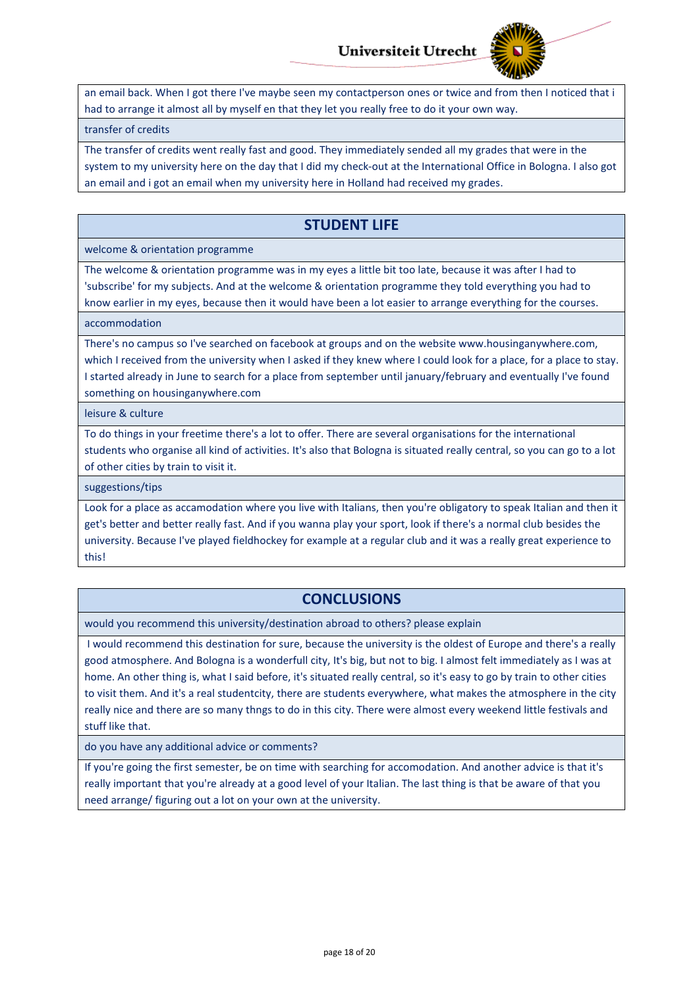

an email back. When I got there I've maybe seen my contactperson ones or twice and from then I noticed that i had to arrange it almost all by myself en that they let you really free to do it your own way.

#### transfer of credits

The transfer of credits went really fast and good. They immediately sended all my grades that were in the system to my university here on the day that I did my check-out at the International Office in Bologna. I also got an email and i got an email when my university here in Holland had received my grades.

### **STUDENT LIFE**

#### welcome & orientation programme

The welcome & orientation programme was in my eyes a little bit too late, because it was after I had to 'subscribe' for my subjects. And at the welcome & orientation programme they told everything you had to know earlier in my eyes, because then it would have been a lot easier to arrange everything for the courses.

#### accommodation

There's no campus so I've searched on facebook at groups and on the website www.housinganywhere.com, which I received from the university when I asked if they knew where I could look for a place, for a place to stay. I started already in June to search for a place from september until january/february and eventually I've found something on housinganywhere.com

#### leisure & culture

To do things in your freetime there's a lot to offer. There are several organisations for the international students who organise all kind of activities. It's also that Bologna is situated really central, so you can go to a lot of other cities by train to visit it.

suggestions/tips

Look for a place as accamodation where you live with Italians, then you're obligatory to speak Italian and then it get's better and better really fast. And if you wanna play your sport, look if there's a normal club besides the university. Because I've played fieldhockey for example at a regular club and it was a really great experience to this!

# **CONCLUSIONS**

would you recommend this university/destination abroad to others? please explain

I would recommend this destination for sure, because the university is the oldest of Europe and there's a really good atmosphere. And Bologna is a wonderfull city, It's big, but not to big. I almost felt immediately as I was at home. An other thing is, what I said before, it's situated really central, so it's easy to go by train to other cities to visit them. And it's a real studentcity, there are students everywhere, what makes the atmosphere in the city really nice and there are so many thngs to do in this city. There were almost every weekend little festivals and stuff like that.

do you have any additional advice or comments?

If you're going the first semester, be on time with searching for accomodation. And another advice is that it's really important that you're already at a good level of your Italian. The last thing is that be aware of that you need arrange/ figuring out a lot on your own at the university.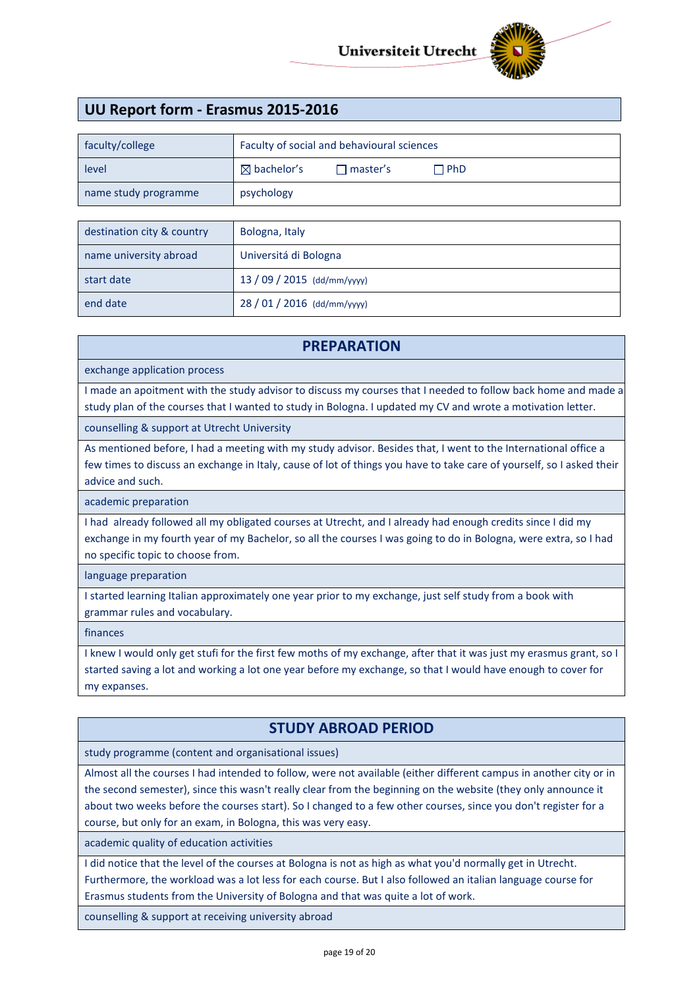

# **UU Report form - Erasmus 2015-2016**

| faculty/college      | Faculty of social and behavioural sciences |                   |            |
|----------------------|--------------------------------------------|-------------------|------------|
| level                | $\boxtimes$ bachelor's                     | $\sqcap$ master's | $\Box$ PhD |
| name study programme | psychology                                 |                   |            |

| destination city & country | Bologna, Italy              |
|----------------------------|-----------------------------|
| name university abroad     | Universitá di Bologna       |
| start date                 | $13/09/2015$ (dd/mm/yyyy)   |
| end date                   | 28 / 01 / 2016 (dd/mm/yyyy) |

## **PREPARATION**

exchange application process

I made an apoitment with the study advisor to discuss my courses that I needed to follow back home and made a study plan of the courses that I wanted to study in Bologna. I updated my CV and wrote a motivation letter.

counselling & support at Utrecht University

As mentioned before, I had a meeting with my study advisor. Besides that, I went to the International office a few times to discuss an exchange in Italy, cause of lot of things you have to take care of yourself, so I asked their advice and such.

academic preparation

I had already followed all my obligated courses at Utrecht, and I already had enough credits since I did my exchange in my fourth year of my Bachelor, so all the courses I was going to do in Bologna, were extra, so I had no specific topic to choose from.

language preparation

I started learning Italian approximately one year prior to my exchange, just self study from a book with grammar rules and vocabulary.

finances

I knew I would only get stufi for the first few moths of my exchange, after that it was just my erasmus grant, so I started saving a lot and working a lot one year before my exchange, so that I would have enough to cover for my expanses.

# **STUDY ABROAD PERIOD**

study programme (content and organisational issues)

Almost all the courses I had intended to follow, were not available (either different campus in another city or in the second semester), since this wasn't really clear from the beginning on the website (they only announce it about two weeks before the courses start). So I changed to a few other courses, since you don't register for a course, but only for an exam, in Bologna, this was very easy.

academic quality of education activities

I did notice that the level of the courses at Bologna is not as high as what you'd normally get in Utrecht. Furthermore, the workload was a lot less for each course. But I also followed an italian language course for Erasmus students from the University of Bologna and that was quite a lot of work.

counselling & support at receiving university abroad